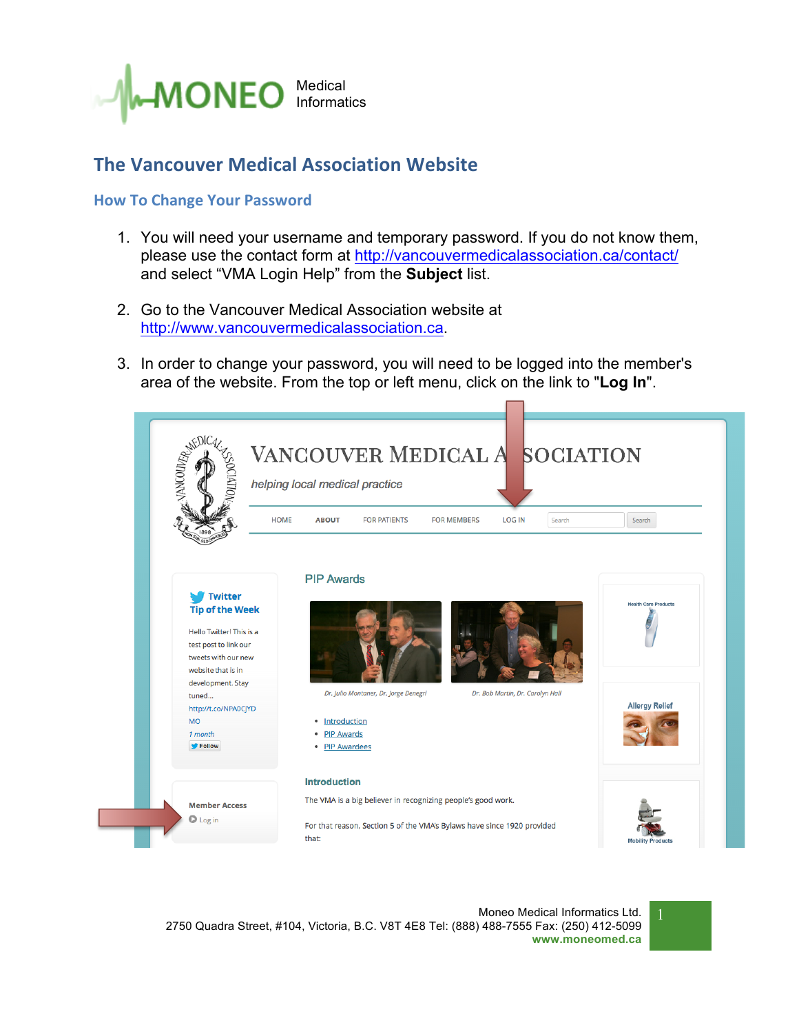

## **The Vancouver Medical Association Website**

## **How To Change Your Password**

- 1. You will need your username and temporary password. If you do not know them, please use the contact form at http://vancouvermedicalassociation.ca/contact/ and select "VMA Login Help" from the **Subject** list.
- 2. Go to the Vancouver Medical Association website at http://www.vancouvermedicalassociation.ca.
- 3. In order to change your password, you will need to be logged into the member's area of the website. From the top or left menu, click on the link to "**Log In**".

 $\blacksquare$ 

| <b>ANCOURAGE</b><br><b>ESOCIAT</b> | helping local medical practice                                           |                                   |  |  |
|------------------------------------|--------------------------------------------------------------------------|-----------------------------------|--|--|
|                                    | <b>HOME</b><br><b>FOR PATIENTS</b><br><b>FOR MEMBERS</b><br><b>ABOUT</b> | <b>LOG IN</b><br>Search<br>Search |  |  |
|                                    | <b>PIP Awards</b>                                                        |                                   |  |  |
| <b>Twitter</b>                     |                                                                          |                                   |  |  |
| <b>Tip of the Week</b>             |                                                                          | <b>Health Care Products</b>       |  |  |
| Hello Twitter! This is a           |                                                                          |                                   |  |  |
| test post to link our              |                                                                          |                                   |  |  |
| tweets with our new                |                                                                          |                                   |  |  |
| website that is in                 |                                                                          |                                   |  |  |
| development. Stay                  | Dr. Julio Montaner, Dr. Jorge Denegri                                    | Dr. Bob Martin, Dr. Carolyn Hall  |  |  |
| tuned                              |                                                                          | <b>Allergy Relief</b>             |  |  |
| http://t.co/NPA0CjYD<br><b>MO</b>  | • Introduction                                                           |                                   |  |  |
| 1 month                            | · PIP Awards                                                             |                                   |  |  |
| Follow                             | • PIP Awardees                                                           |                                   |  |  |
|                                    | <b>Introduction</b>                                                      |                                   |  |  |
|                                    | The VMA is a big believer in recognizing people's good work.             |                                   |  |  |
|                                    |                                                                          |                                   |  |  |

Moneo Medical Informatics Ltd. 2750 Quadra Street, #104, Victoria, B.C. V8T 4E8 Tel: (888) 488-7555 Fax: (250) 412-5099 **www.moneomed.ca**

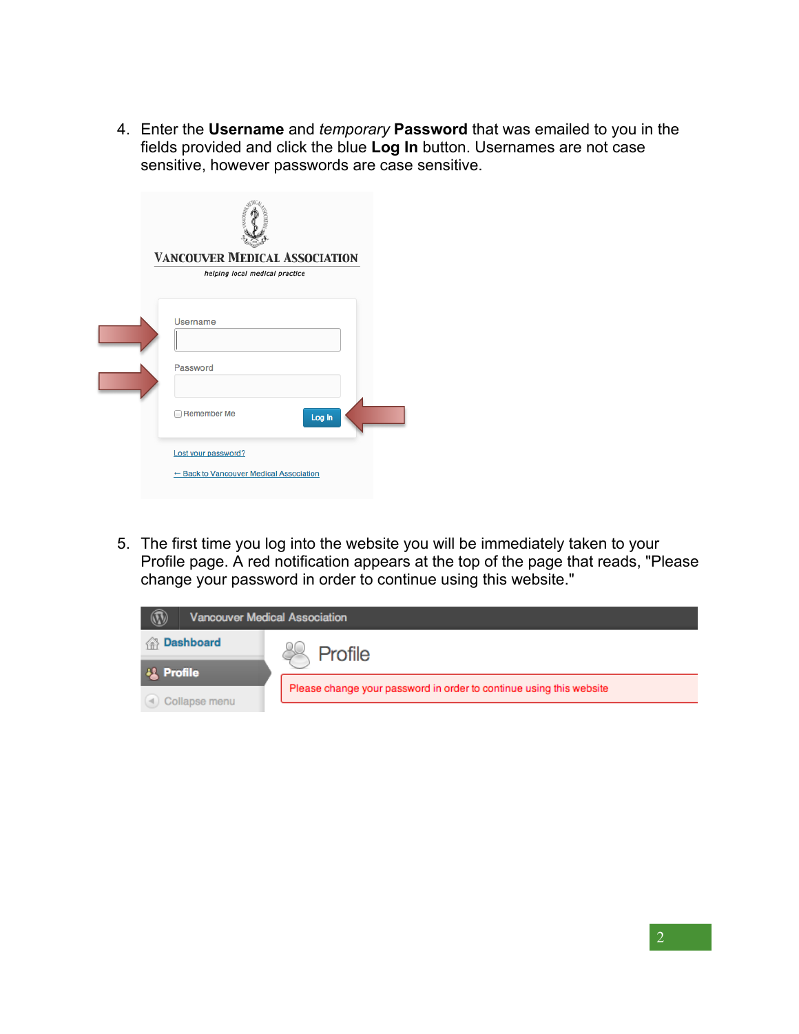4. Enter the **Username** and *temporary* **Password** that was emailed to you in the fields provided and click the blue **Log In** button. Usernames are not case sensitive, however passwords are case sensitive.

| <b>VANCOUVER MEDICAL ASSOCIATION</b><br>helping local medical practice |
|------------------------------------------------------------------------|
| Username<br>Password                                                   |
| <b>Remember Me</b><br>Log In                                           |
| Lost your password?<br>← Back to Vancouver Medical Association         |

5. The first time you log into the website you will be immediately taken to your Profile page. A red notification appears at the top of the page that reads, "Please change your password in order to continue using this website."

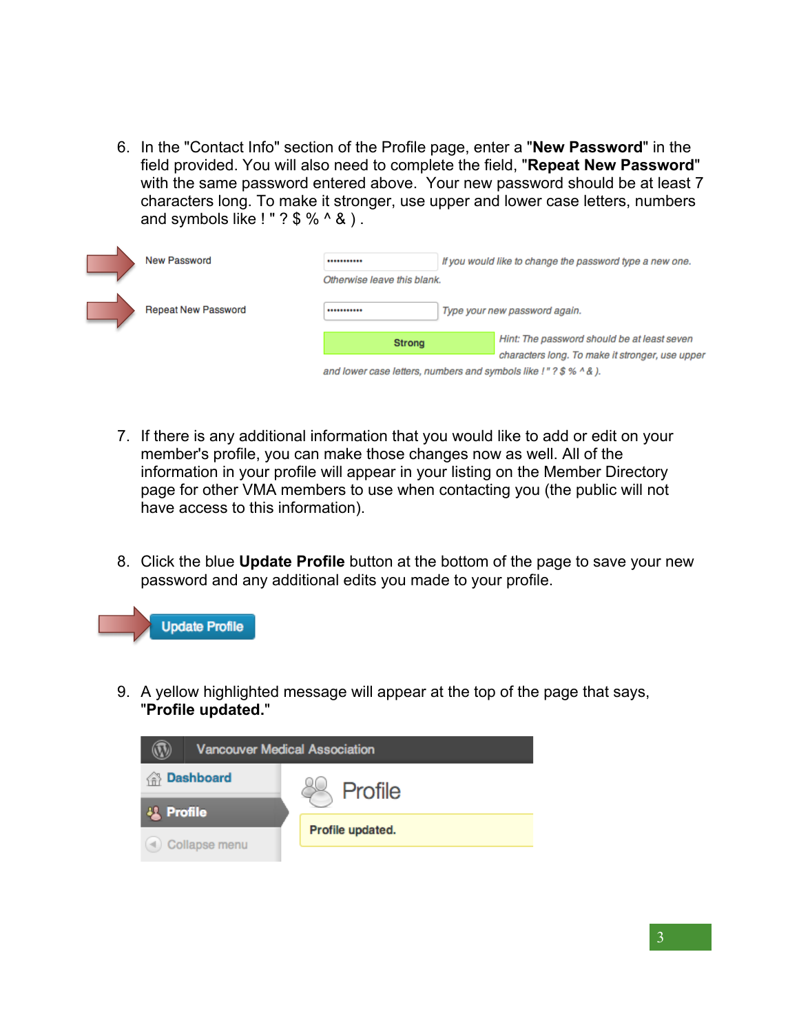6. In the "Contact Info" section of the Profile page, enter a "**New Password**" in the field provided. You will also need to complete the field, "**Repeat New Password**" with the same password entered above. Your new password should be at least 7 characters long. To make it stronger, use upper and lower case letters, numbers and symbols like ! "  $?$  \$ %  $\land$  & ).

| New Password               |                                                                  | If you would like to change the password type a new one. |                                                 |
|----------------------------|------------------------------------------------------------------|----------------------------------------------------------|-------------------------------------------------|
|                            | Otherwise leave this blank.                                      |                                                          |                                                 |
| <b>Repeat New Password</b> |                                                                  |                                                          | Type your new password again.                   |
|                            | <b>Strong</b>                                                    |                                                          | Hint: The password should be at least seven     |
|                            |                                                                  |                                                          | characters long. To make it stronger, use upper |
|                            | and lower case letters, numbers and symbols like !"? \$ % ^ & ). |                                                          |                                                 |

- 7. If there is any additional information that you would like to add or edit on your member's profile, you can make those changes now as well. All of the information in your profile will appear in your listing on the Member Directory page for other VMA members to use when contacting you (the public will not have access to this information).
- 8. Click the blue **Update Profile** button at the bottom of the page to save your new password and any additional edits you made to your profile.



9. A yellow highlighted message will appear at the top of the page that says, "**Profile updated.**"